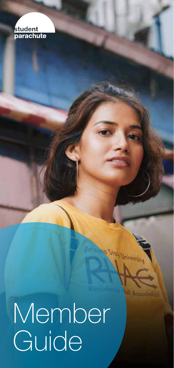

Member Guide

as Univer

Asso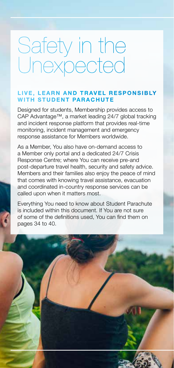# Safety in the Unexpected

#### **LIVE, LEARN AND TRAVEL RESPONSIBLY WITH STUDENT PARACHUTE**

Designed for students, Membership provides access to CAP Advantage™, a market leading 24/7 global tracking and incident response platform that provides real-time monitoring, incident management and emergency response assistance for Members worldwide.

As a Member, You also have on-demand access to a Member only portal and a dedicated 24/7 Crisis Response Centre; where You can receive pre-and post-departure travel health, security and safety advice. Members and their families also enjoy the peace of mind that comes with knowing travel assistance, evacuation and coordinated in-country response services can be called upon when it matters most.

Everything You need to know about Student Parachute is included within this document. If You are not sure of some of the definitions used, You can find them on pages 34 to 40.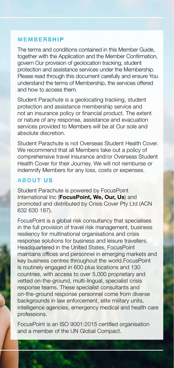#### **MEMBERSHIP**

The terms and conditions contained in this Member Guide, together with the Application and the Member Confirmation, govern Our provision of geolocation tracking, student protection and assistance services under the Membership. Please read through this document carefully and ensure You understand the terms of Membership, the services offered and how to access them.

Student Parachute is a geolocating tracking, student protection and assistance membership service and not an insurance policy or financial product. The extent or nature of any response, assistance and evacuation services provided to Members will be at Our sole and absolute discretion.

Student Parachute is not Overseas Student Health Cover. We recommend that all Members take out a policy of comprehensive travel insurance and/or Overseas Student Health Cover for their Journey. We will not reimburse or indemnify Members for any loss, costs or expenses.

#### **ABOUT US**

Student Parachute is powered by FocusPoint International Inc (**FocusPoint, We, Our, Us**) and promoted and distributed by Crisis Cover Pty Ltd (ACN 632 630 187).

FocusPoint is a global risk consultancy that specialises in the full provision of travel risk management, business resiliency for multinational organisations and crisis response solutions for business and leisure travellers. Headquartered in the United States, FocusPoint maintains offices and personnel in emerging markets and key business centres throughout the world.FocusPoint is routinely engaged in 600 plus locations and 130 countries, with access to over 5,000 proprietary and vetted on-the-ground, multi-lingual, specialist crisis response teams. These specialist consultants and on-the-ground response personnel come from diverse backgrounds in law enforcement, elite military units, intelligence agencies, emergency medical and health care professions.

FocusPoint is an ISO 9001:2015 certified organisation and a member of the UN Global Compact.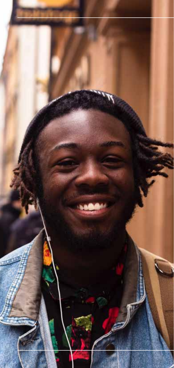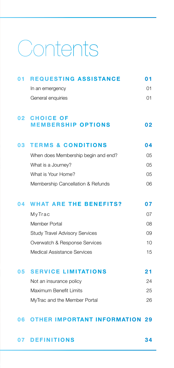# **Contents**

| <b>REQUESTING ASSISTANCE</b>                                     | 01             |
|------------------------------------------------------------------|----------------|
| In an emergency                                                  | 01             |
| General enquiries                                                | 01             |
| 02 <sub>2</sub><br><b>CHOICE OF</b><br><b>MEMBERSHIP OPTIONS</b> | 02             |
| <b>TERMS &amp; CONDITIONS</b><br>03                              | 04             |
| When does Membership begin and end?                              | 0 <sub>5</sub> |
| What is a Journey?                                               | 05             |
| What is Your Home?                                               | 0 <sub>5</sub> |
| Membership Cancellation & Refunds                                | 06             |
| <b>WHAT ARE THE BENEFITS?</b>                                    | 07             |
| MyTrac                                                           | 07             |
| Member Portal                                                    | 08             |
| <b>Study Travel Advisory Services</b>                            | 09             |
| Overwatch & Response Services                                    | 10             |
| Medical Assistance Services                                      | 15             |
| <b>SERVICE LIMITATIONS</b>                                       | 21             |
| Not an insurance policy                                          | 24             |
| Maximum Benefit Limits                                           | 25             |
| MyTrac and the Member Portal                                     | 26             |
|                                                                  |                |

# **06 OTHER IMPORTANT INFORMATION 29**

### **07 DEFINITIONS 3 4**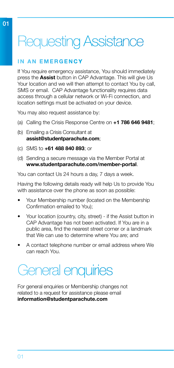# Requesting Assistance

# **IN AN EMERGENCY**

If You require emergency assistance, You should immediately press the **Assist** button in CAP Advantage. This will give Us Your location and we will then attempt to contact You by call, SMS or email. CAP Advantage functionality requires data access through a cellular network or Wi-Fi connection, and location settings must be activated on your device.

You may also request assistance by:

- (a) Calling the Crisis Response Centre on **+1 786 646 9481**;
- (b) Emailing a Crisis Consultant at **assist@studentparachute.com**;
- (c) SMS to **+61 488 840 893**; or
- (d) Sending a secure message via the Member Portal at **www.studentparachute.com/member-portal**.

You can contact Us 24 hours a day, 7 days a week.

Having the following details ready will help Us to provide You with assistance over the phone as soon as possible:

- Your Membership number (located on the Membership Confirmation emailed to You);
- Your location (country, city, street) if the Assist button in CAP Advantage has not been activated. If You are in a public area, find the nearest street corner or a landmark that We can use to determine where You are; and
- A contact telephone number or email address where We can reach You.

# General enquiries

For general enquiries or Membership changes not related to a request for assistance please email **information@studentparachute.com**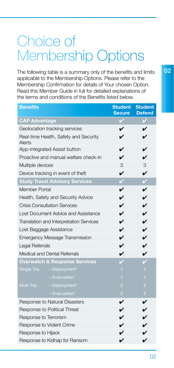# Choice of Membership Options

The following table is a summary only of the benefits and limits applicable to the Membership Options. Please refer to the Membership Confirmation for details of Your chosen Option. Read this Member Guide in full for detailed explanations of the terms and conditions of the Benefits listed below.

| <b>Benefits</b>                                  | <b>Student</b><br><b>Secure</b> | <b>Student</b><br><b>Defend</b> |
|--------------------------------------------------|---------------------------------|---------------------------------|
| <b>CAP Advantage</b>                             | V                               |                                 |
| Geolocation tracking services                    | ✔                               | ✓                               |
| Real-time Health, Safety and Security<br>Alerts  | ✔                               |                                 |
| App-integrated Assist button                     | V                               |                                 |
| Proactive and manual welfare check-in            | ✔                               | ✔                               |
| Multiple devices                                 | 3                               | 3                               |
| Device tracking in event of theft                | V                               | V                               |
| <b>Study Travel Advisory Services</b>            | $\mathbf v$                     | $\checkmark$                    |
| Member Portal                                    | V                               | V                               |
| Health, Safety and Security Advice               | V                               | V                               |
| <b>Crisis Consultation Services</b>              | V                               | V                               |
| Lost Document Advice and Assistance              | V                               | V                               |
| Translation and Interpretation Services          | V                               | V                               |
| Lost Baggage Assistance                          | ✔                               | V                               |
| <b>Emergency Message Transmission</b>            | V                               | V                               |
| Legal Referrals                                  | V                               | V                               |
| Medical and Dental Referrals                     | V                               | V                               |
| <b>Overwatch &amp; Response Services</b>         | $\mathbf v$                     | $\overline{\mathscr{C}}$        |
| Single Trip<br>$-Deployment*$                    | 1                               | $\mathbf{1}$                    |
| $-$ Evacuation*                                  | $\overline{1}$                  | $\overline{1}$                  |
| <b>Multi Trip</b><br>$-$ Deployment <sup>#</sup> | $\overline{c}$                  | $\overline{2}$                  |
| $-$ Evacuation <sup>#</sup>                      | $\overline{2}$                  | $\overline{2}$                  |
| Response to Natural Disasters                    | V                               | ✔                               |
| Response to Political Threat                     | V                               | V                               |
| Response to Terrorism                            | V                               | V                               |
| Response to Violent Crime                        | V                               |                                 |
| Response to Hijack                               |                                 |                                 |
| Response to Kidnap for Ransom                    | V                               | ✔                               |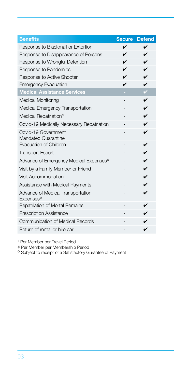| <b>Benefits</b>                                            | <b>Secure</b> | <b>Defend</b> |
|------------------------------------------------------------|---------------|---------------|
| Response to Blackmail or Extortion                         | V             | ✓             |
| Response to Disappearance of Persons                       | ✔             | ✔             |
| Response to Wrongful Detention                             | ✓             | ✔             |
| Response to Pandemics                                      | ✔             | ✓             |
| Response to Active Shooter                                 | V             | ✓             |
| <b>Emergency Evacuation</b>                                | ✔             | ✓             |
| <b>Medical Assistance Services</b>                         |               | $\mathbf{v}$  |
| <b>Medical Monitoring</b>                                  |               | V             |
| Medical Emergency Transportation                           |               | ✓             |
| Medical Repatriation <sup>®</sup>                          |               | V             |
| Covid-19 Medically Necessary Repatriation                  |               | V             |
| Covid-19 Government<br><b>Mandated Quarantine</b>          |               | V             |
| Evacuation of Children                                     |               | ✓             |
| <b>Transport Escort</b>                                    |               | V             |
| Advance of Emergency Medical Expenses <sup>®</sup>         |               | ✔             |
| Visit by a Family Member or Friend                         |               | ✓             |
| Visit Accommodation                                        |               | ✓             |
| Assistance with Medical Payments                           |               | V             |
| Advance of Medical Transportation<br>Expenses <sup>8</sup> |               | ✓             |
| Repatriation of Mortal Remains                             |               | ✓             |
| <b>Prescription Assistance</b>                             |               | ✓             |
| Communication of Medical Records                           |               | ✔             |
| Return of rental or hire car                               |               | V             |

\* Per Member per Travel Period

# Per Member per Membership Period

Subject to receipt of a Satisfactory Gurantee of Payment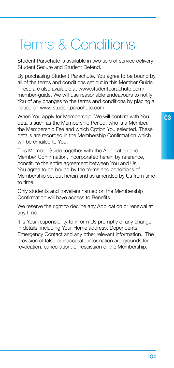# Terms & Conditions

Student Parachute is available in two tiers of service delivery: Student Secure and Student Defend.

By purchasing Student Parachute, You agree to be bound by all of the terms and conditions set out in this Member Guide. These are also available at www.studentparachute.com/ member-guide. We will use reasonable endeavours to notify You of any changes to the terms and conditions by placing a notice on www.studentparachute.com.

When You apply for Membership, We will confirm with You details such as the Membership Period, who is a Member, the Membership Fee and which Option You selected. These details are recorded in the Membership Confirmation which will be emailed to You.

This Member Guide together with the Application and Member Confirmation, incorporated herein by reference, constitute the entire agreement between You and Us. You agree to be bound by the terms and conditions of Membership set out herein and as amended by Us from time to time.

Only students and travellers named on the Membership Confirmation will have access to Benefits.

We reserve the right to decline any Application or renewal at any time.

It is Your responsibility to inform Us promptly of any change in details, including Your Home address, Dependents, Emergency Contact and any other relevant information. The provision of false or inaccurate information are grounds for revocation, cancellation, or rescission of the Membership.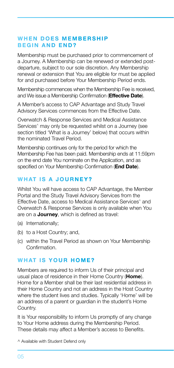### **WHEN DOES MEMBERSHIP BEGIN AND END?**

Membership must be purchased prior to commencement of a Journey. A Membership can be renewed or extended postdeparture, subject to our sole discretion. Any Membership renewal or extension that You are eligible for must be applied for and purchased before Your Membership Period ends.

Membership commences when the Membership Fee is received, and We issue a Membership Confirmation (**Effective Date**).

A Member's access to CAP Advantage and Study Travel Advisory Services commences from the Effective Date.

Overwatch & Response Services and Medical Assistance Services<sup>^</sup> may only be requested whilst on a Journey (see section titled 'What is a Journey' below) that occurs within the nominated Travel Period.

Membership continues only for the period for which the Membership Fee has been paid. Membership ends at 11:59pm on the end date You nominate on the Application, and as specified on Your Membership Confirmation (**End Date**).

# **WHAT IS A JOURNEY?**

Whilst You will have access to CAP Advantage, the Member Portal and the Study Travel Advisory Services from the Effective Date, access to Medical Assistance Services^ and Overwatch & Response Services is only available when You are on a **Journey**, which is defined as travel:

- (a) Internationally;
- (b) to a Host Country; and,
- (c) within the Travel Period as shown on Your Membership Confirmation.

### **WHAT IS YOUR HOME?**

Members are required to inform Us of their principal and usual place of residence in their Home Country (**Home**). Home for a Member shall be their last residential address in their Home Country and not an address in the Host Country where the student lives and studies. Typically 'Home' will be an address of a parent or guardian in the student's Home Country.

It is Your responsibility to inform Us promptly of any change to Your Home address during the Membership Period. These details may affect a Member's access to Benefits.

^ Available with Student Defend only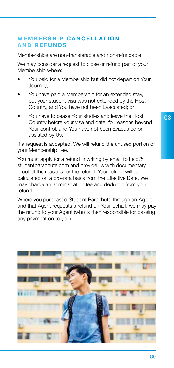### **MEMBERSHIP CANCELLATION AND REFUNDS**

Memberships are non-transferable and non-refundable.

We may consider a request to close or refund part of your Membership where:

- You paid for a Membership but did not depart on Your Journey;
- You have paid a Membership for an extended stay, but your student visa was not extended by the Host Country, and You have not been Evacuated; or
- You have to cease Your studies and leave the Host Country before your visa end date, for reasons beyond Your control, and You have not been Evacuated or assisted by Us.

If a request is accepted, We will refund the unused portion of your Membership Fee.

You must apply for a refund in writing by email to help@ studentparachute.com and provide us with documentary proof of the reasons for the refund. Your refund will be calculated on a pro-rata basis from the Effective Date. We may charge an administration fee and deduct it from your refund.

Where you purchased Student Parachute through an Agent and that Agent requests a refund on Your behalf, we may pay the refund to your Agent (who is then responsible for passing any payment on to you).

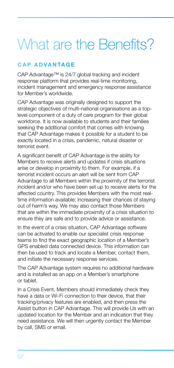# What are the Benefits?

# **CAP ADVANTAGE**

CAP Advantage™ is 24/7 global tracking and incident response platform that provides real-time monitoring, incident management and emergency response assistance for Member's worldwide.

CAP Advantage was originally designed to support the strategic objectives of multi-national organisations as a toplevel component of a duty of care program for their global workforce. It is now available to students and their families seeking the additional comfort that comes with knowing that CAP Advantage makes it possible for a student to be exactly located in a crisis, pandemic, natural disaster or terrorist event.

A significant benefit of CAP Advantage is the ability for Members to receive alerts and updates if crisis situations arise or develop in proximity to them. For example, if a terrorist incident occurs an alert will be sent from CAP Advantage to all Members within the proximity of the terrorist incident and/or who have been set up to receive alerts for the affected country. This provides Members with the most realtime information available; increasing their chances of staying out of harm's way. We may also contact those Members that are within the immediate proximity of a crisis situation to ensure they are safe and to provide advice or assistance.

In the event of a crisis situation, CAP Advantage software can be activated to enable our specialist crisis response teams to find the exact geographic location of a Member's GPS enabled data connected device. This information can then be used to track and locate a Member, contact them, and initiate the necessary response services.

The CAP Advantage system requires no additional hardware and is installed as an app on a Member's smartphone or tablet.

In a Crisis Event, Members should immediately check they have a data or Wi-Fi connection to their device, that their tracking/privacy features are enabled, and then press the Assist button in CAP Advantage. This will provide Us with an updated location for the Member and an indication that they need assistance. We will then urgently contact the Member by call, SMS or email.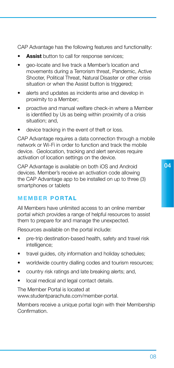CAP Advantage has the following features and functionality:

- **Assist** button to call for response services:
- geo-locate and live track a Member's location and movements during a Terrorism threat, Pandemic, Active Shooter, Political Threat, Natural Disaster or other crisis situation or when the Assist button is triggered;
- alerts and updates as incidents arise and develop in proximity to a Member;
- proactive and manual welfare check-in where a Member is identified by Us as being within proximity of a crisis situation; and,
- device tracking in the event of theft or loss.

CAP Advantage requires a data connection through a mobile network or Wi-Fi in order to function and track the mobile device. Geolocation, tracking and alert services require activation of location settings on the device.

CAP Advantage is available on both iOS and Android devices. Member's receive an activation code allowing the CAP Advantage app to be installed on up to three (3) smartphones or tablets

### **MEMBER PORTAL**

All Members have unlimited access to an online member portal which provides a range of helpful resources to assist them to prepare for and manage the unexpected.

Resources available on the portal include:

- pre-trip destination-based health, safety and travel risk intelligence;
- travel quides, city information and holiday schedules;
- worldwide country dialling codes and tourism resources;
- country risk ratings and late breaking alerts; and,
- local medical and legal contact details.

The Member Portal is located at www.studentparachute.com/member-portal.

Members receive a unique portal login with their Membership Confirmation.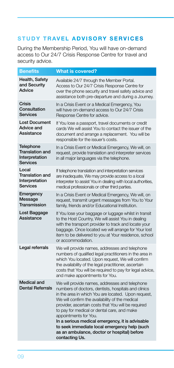# **STUDY TRAVEL ADVISORY SERVICES**

During the Membership Period, You will have on-demand access to Our 24/7 Crisis Response Centre for travel and security advice.

| <b>Benefits</b>                                                          | <b>What is covered?</b>                                                                                                                                                                                                                                                                                                                                                                                                                                                                                            |
|--------------------------------------------------------------------------|--------------------------------------------------------------------------------------------------------------------------------------------------------------------------------------------------------------------------------------------------------------------------------------------------------------------------------------------------------------------------------------------------------------------------------------------------------------------------------------------------------------------|
| Health, Safety<br>and Security<br>Advice                                 | Available 24/7 through the Member Portal.<br>Access to Our 24/7 Crisis Response Centre for<br>over the phone security and travel safety advice and<br>assistance both pre-departure and during a Journey.                                                                                                                                                                                                                                                                                                          |
| Crisis<br>Consultation<br>Services                                       | In a Crisis Event or a Medical Emergency, You<br>will have on-demand access to Our 24/7 Crisis<br>Response Centre for advice.                                                                                                                                                                                                                                                                                                                                                                                      |
| Lost Document<br>Advice and<br>Assistance                                | If You lose a passport, travel documents or credit<br>cards We will assist You to contact the issuer of the<br>document and arrange a replacement. You will be<br>responsible for the issuer's costs.                                                                                                                                                                                                                                                                                                              |
| Telephone<br><b>Translation and</b><br>Interpretation<br><b>Services</b> | In a Crisis Event or Medical Emergency, We will, on<br>request, provide translation and interpreter services<br>in all major languages via the telephone.                                                                                                                                                                                                                                                                                                                                                          |
| Local<br><b>Translation and</b><br>Interpretation<br><b>Services</b>     | If telephone translation and interpretation services<br>are inadequate, We may provide access to a local<br>interpreter to assist You in dealing with local authorities,<br>medical professionals or other third parties.                                                                                                                                                                                                                                                                                          |
| Emergency<br>Message<br>Transmission                                     | In a Crisis Event or Medical Emergency, We will, on<br>request, transmit urgent messages from You to Your<br>family, friends and/or Educational Institution.                                                                                                                                                                                                                                                                                                                                                       |
| Lost Baggage<br>Assistance                                               | If You lose your baggage or luggage whilst in transit<br>to the Host Country, We will assist You in dealing<br>with the transport provider to track and locate your<br>baggage. Once located we will arrange for Your lost<br>item to be delivered to you at Your residence, school<br>or accommodation.                                                                                                                                                                                                           |
| Legal referrals                                                          | We will provide names, addresses and telephone<br>numbers of qualified legal practitioners in the area in<br>which You located. Upon request, We will confirm<br>the availability of the legal practitioner, ascertain<br>costs that You will be required to pay for legal advice,<br>and make appointments for You.                                                                                                                                                                                               |
| <b>Medical and</b><br><b>Dental Referrals</b>                            | We will provide names, addresses and telephone<br>numbers of doctors, dentists, hospitals and clinics<br>in the area in which You are located. Upon request,<br>We will confirm the availability of the medical<br>provider, ascertain costs that You will be required<br>to pay for medical or dental care, and make<br>appointments for You.<br>In a serious medical emergency, it is advisable<br>to seek immediate local emergency help (such<br>as an ambulance, doctor or hospital) before<br>contacting Us. |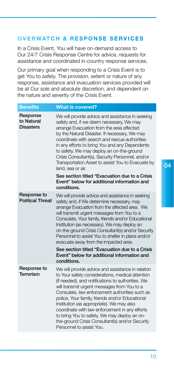### **OVERWATCH & RESPONSE SERVICES**

In a Crisis Event, You will have on-demand access to Our 24/7 Crisis Response Centre for advice, requests for assistance and coordinated in-country response services.

Our primary goal when responding to a Crisis Event is to get You to safety. The provision, extent or nature of any response, assistance and evacuation services provided will be at Our sole and absolute discretion, and dependent on the nature and severity of the Crisis Event.

| <b>Benefits</b>                            | <b>What is covered?</b>                                                                                                                                                                                                                                                                                                                                                                                                                                                                                                                                                                  |
|--------------------------------------------|------------------------------------------------------------------------------------------------------------------------------------------------------------------------------------------------------------------------------------------------------------------------------------------------------------------------------------------------------------------------------------------------------------------------------------------------------------------------------------------------------------------------------------------------------------------------------------------|
| Response<br>to Natural<br><b>Disasters</b> | We will provide advice and assistance in seeking<br>safety and, if we deem necessary, We may<br>arrange Evacuation from the area affected<br>by the Natural Disaster. If necessary, We may<br>coordinate with search and rescue authorities<br>in any efforts to bring You and any Dependents<br>to safety. We may deploy an on-the-ground<br>Crisis Consultant(s), Security Personnel, and/or<br>Transportation Asset to assist You to Evacuate by<br>land, sea or air.<br>See section titled "Evacuation due to a Crisis<br>Event" below for additional information and<br>conditions. |
| Response to<br><b>Political Threat</b>     | We will provide advice and assistance in seeking<br>safety and, if We determine necessary, may<br>arrange Evacuation from the affected area. We<br>will transmit urgent messages from You to a<br>Consulate, Your family, friends and/or Educational<br>Institution (as necessary). We may deploy an<br>on-the-ground Crisis Consultant(s) and/or Security<br>Personnel to assist You to shelter in place and/or<br>evacuate away from the impacted area.                                                                                                                                |
|                                            | See section titled "Evacuation due to a Crisis<br>Event" below for additional information and<br>conditions.                                                                                                                                                                                                                                                                                                                                                                                                                                                                             |
| Response to<br>Terrorism                   | We will provide advice and assistance in relation<br>to Your safety considerations, medical attention<br>(if needed), and notifications to authorities. We<br>will transmit urgent messages from You to a<br>Consulate, law enforcement authorities such as<br>police, Your family, friends and/or Educational<br>Institution (as appropriate). We may also<br>coordinate with law enforcement in any efforts<br>to bring You to safety. We may deploy an on-<br>the-ground Crisis Consultant(s) and/or Security<br>Personnel to assist You.                                             |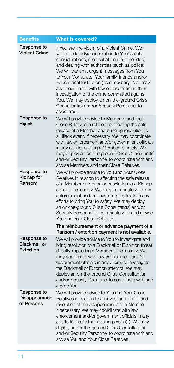| <b>Benefits</b>                                 | <b>What is covered?</b>                                                                                                                                                                                                                                                                                                                                                                                                                                                                                                                                        |
|-------------------------------------------------|----------------------------------------------------------------------------------------------------------------------------------------------------------------------------------------------------------------------------------------------------------------------------------------------------------------------------------------------------------------------------------------------------------------------------------------------------------------------------------------------------------------------------------------------------------------|
| Response to<br>Violent Crime                    | If You are the victim of a Violent Crime, We<br>will provide advice in relation to Your safety<br>considerations, medical attention (if needed)<br>and dealing with authorities (such as police).<br>We will transmit urgent messages from You<br>to Your Consulate, Your family, friends and/or<br>Educational Institution (as necessary). We may<br>also coordinate with law enforcement in their<br>investigation of the crime committed against<br>You. We may deploy an on-the-ground Crisis<br>Consultant(s) and/or Security Personnel to<br>assist You. |
| Response to<br>Hijack                           | We will provide advice to Members and their<br>Close Relatives in relation to affecting the safe<br>release of a Member and bringing resolution to<br>a Hijack event. If necessary, We may coordinate<br>with law enforcement and/or government officials<br>in any efforts to bring a Member to safety. We<br>may deploy an on-the-ground Crisis Consultant(s)<br>and/or Security Personnel to coordinate with and<br>advise Members and their Close Relatives.                                                                                               |
| Response to<br>Kidnap for<br>Ransom             | We will provide advice to You and Your Close<br>Relatives in relation to affecting the safe release<br>of a Member and bringing resolution to a Kidnap<br>event. If necessary, We may coordinate with law<br>enforcement and/or government officials in any<br>efforts to bring You to safety. We may deploy<br>an on-the-ground Crisis Consultant(s) and/or<br>Security Personnel to coordinate with and advise<br>You and Your Close Relatives.                                                                                                              |
|                                                 | The reimbursement or advance payment of a<br>Ransom / extortion payment is not available.                                                                                                                                                                                                                                                                                                                                                                                                                                                                      |
| Response to<br><b>Blackmail or</b><br>Extortion | We will provide advice to You to investigate and<br>bring resolution to a Blackmail or Extortion threat<br>directly impacting a Member. If necessary, We<br>may coordinate with law enforcement and/or<br>government officials in any efforts to investigate<br>the Blackmail or Extortion attempt. We may<br>deploy an on-the-ground Crisis Consultant(s)<br>and/or Security Personnel to coordinate with and<br>advise You.                                                                                                                                  |
| Response to<br>Disappearance<br>of Persons      | We will provide advice to You and Your Close<br>Relatives in relation to an investigation into and<br>resolution of the disappearance of a Member.<br>If necessary, We may coordinate with law<br>enforcement and/or government officials in any<br>efforts to locate the missing person(s). We may<br>deploy an on-the-ground Crisis Consultant(s)<br>and/or Security Personnel to coordinate with and<br>advise You and Your Close Relatives.                                                                                                                |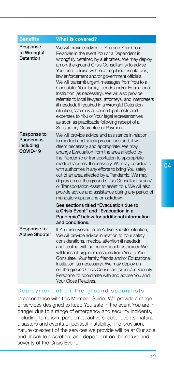| <b>Benefits</b>                                   | <b>What is covered?</b>                                                                                                                                                                                                                                                                                                                                                                                                                                                                                                                                                                                                                                                                                                                                                      |
|---------------------------------------------------|------------------------------------------------------------------------------------------------------------------------------------------------------------------------------------------------------------------------------------------------------------------------------------------------------------------------------------------------------------------------------------------------------------------------------------------------------------------------------------------------------------------------------------------------------------------------------------------------------------------------------------------------------------------------------------------------------------------------------------------------------------------------------|
| Response<br>to Wrongful<br>Detention              | We will provide advice to You and Your Close<br>Relatives in the event You or a Dependent is<br>wrongfully detained by authorities. We may deploy<br>an on-the-ground Crisis Consultant(s) to advise<br>You, and to liaise with local legal representatives,<br>law enforcement and/or government officials.<br>We will transmit urgent messages from You to a<br>Consulate, Your family, friends and/or Educational<br>Institution (as necessary). We will also provide<br>referrals to local lawyers, attorneys, and interpreters<br>(if needed). If required in a Wrongful Detention<br>situation, We may advance legal costs and<br>expenses to You or Your legal representatives<br>as soon as practicable following receipt of a<br>Satisfactory Guarantee of Payment. |
| Response to<br>Pandemics<br>including<br>COVID-19 | We will provide advice and assistance in relation<br>to medical and safety precautions and, if we<br>deem necessary and appropriate, We may<br>arrange Evacuation from the area affected by<br>the Pandemic or transportation to appropriate<br>medical facilities. If necessary, We may coordinate<br>with authorities in any efforts to bring You safely<br>out of an area affected by a Pandemic. We may<br>deploy an on-the-ground Crisis Consultant(s) and/<br>or Transportation Asset to assist You. We will also<br>provide advice and assistance during any period of<br>mandatory quarantine or lockdown.<br>See sections titled "Evacuation due to<br>a Crisis Event" and "Evacuation in a                                                                         |
|                                                   | Pandemic" below for additional information<br>and conditions.                                                                                                                                                                                                                                                                                                                                                                                                                                                                                                                                                                                                                                                                                                                |
| Response to<br><b>Active Shooter</b>              | If You are involved in an Active Shooter situation,<br>We will provide advice in relation to Your safety<br>considerations, medical attention (if needed)<br>and dealing with authorities (such as police). We<br>will transmit urgent messages from You to Your<br>Consulate, Your family, friends and/or Educational<br>Institution (as necessary). We may deploy an<br>on-the-ground Crisis Consultant(s) and/or Security<br>Personnel to coordinate with and advise You and<br>Your Close Relatives.                                                                                                                                                                                                                                                                     |

#### Deployment of on-the-ground specialists

In accordance with this Member Guide, We provide a range of services designed to keep You safe in the event You are in danger due to a range of emergency and security incidents, including terrorism, pandemic, active shooter events, natural disasters and events of political instability. The provision, nature or extent of the services we provide will be at Our sole and absolute discretion, and dependent on the nature and severity of the Crisis Event.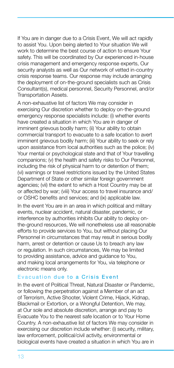If You are in danger due to a Crisis Event, We will act rapidly to assist You. Upon being alerted to Your situation We will work to determine the best course of action to ensure Your safety. This will be coordinated by Our experienced in-house crisis management and emergency response experts, Our security analysts as well as Our network of vetted in-country crisis response teams. Our response may include arranging the deployment of on-the-ground specialists such as Crisis Consultant(s), medical personnel, Security Personnel, and/or Transportation Assets.

A non-exhaustive list of factors We may consider in exercising Our discretion whether to deploy on-the-ground emergency response specialists include: (i) whether events have created a situation in which You are in danger of imminent grievous bodily harm; (ii) Your ability to obtain commercial transport to evacuate to a safe location to avert imminent grievous bodily harm; (iii) Your ability to seek or rely upon assistance from local authorities such as the police; (iv) Your mental or psychological state and that of Your travelling companions; (v) the health and safety risks to Our Personnel, including the risk of physical harm to or detention of them; (vi) warnings or travel restrictions issued by the United States Department of State or other similar foreign government agencies; (vii) the extent to which a Host Country may be at or affected by war; (viii) Your access to travel insurance and/ or OSHC benefits and services; and (ix) applicable law.

In the event You are in an area in which political and military events, nuclear accident, natural disaster, pandemic, or interference by authorities inhibits Our ability to deploy onthe-ground resources, We will nonetheless use all reasonable efforts to provide services to You, but without placing Our Personnel in circumstances that may result in serious bodily harm, arrest or detention or cause Us to breach any law or regulation. In such circumstances, We may be limited to providing assistance, advice and guidance to You, and making local arrangements for You, via telephone or electronic means only.

#### Evacuation due to a Crisis Event

In the event of Political Threat, Natural Disaster or Pandemic, or following the perpetration against a Member of an act of Terrorism, Active Shooter, Violent Crime, Hijack, Kidnap, Blackmail or Extortion, or a Wrongful Detention, We may, at Our sole and absolute discretion, arrange and pay to Evacuate You to the nearest safe location or to Your Home Country. A non-exhaustive list of factors We may consider in exercising our discretion include whether: (i) security, military, law enforcement, political/civil activity, environmental or biological events have created a situation in which You are in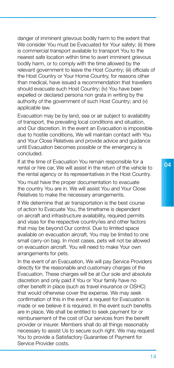danger of imminent grievous bodily harm to the extent that We consider You must be Evacuated for Your safety; (ii) there is commercial transport available to transport You to the nearest safe location within time to avert imminent grievous bodily harm, or to comply with the time allowed by the relevant government to leave the Host Country; (iii) officials of the Host Country or Your Home Country, for reasons other than medical, have issued a recommendation that travellers should evacuate such Host Country; (iv) You have been expelled or declared persona non grata in writing by the authority of the government of such Host Country; and (v) applicable law.

Evacuation may be by land, sea or air subject to availability of transport, the prevailing local conditions and situation, and Our discretion. In the event an Evacuation is impossible due to hostile conditions, We will maintain contact with You and Your Close Relatives and provide advice and guidance until Evacuation becomes possible or the emergency is concluded.

If at the time of Evacuation You remain responsible for a rental or hire car, We will assist in the return of the vehicle to the rental agency or its representatives in the Host Country.

You must have the proper documentation to evacuate the country You are in. We will assist You and Your Close Relatives to make the necessary arrangements.

If We determine that air transportation is the best course of action to Evacuate You, the timeframe is dependent on aircraft and infrastructure availability, required permits and visas for the respective country/ies and other factors that may be beyond Our control. Due to limited space available on evacuation aircraft, You may be limited to one small carry-on bag. In most cases, pets will not be allowed on evacuation aircraft. You will need to make Your own arrangements for pets.

In the event of an Evacuation, We will pay Service Providers directly for the reasonable and customary charges of the Evacuation. These charges will be at Our sole and absolute discretion and only paid if You or Your family have no other benefit in place (such as travel insurance or OSHC) that would otherwise cover the expense. We may seek confirmation of this in the event a request for Evacuation is made or we believe it is required. In the event such benefits are in place, We shall be entitled to seek payment for or reimbursement of the cost of Our services from the benefit provider or insurer. Members shall do all things reasonably necessary to assist Us to secure such right. We may request You to provide a Satisfactory Guarantee of Payment for Service Provider costs.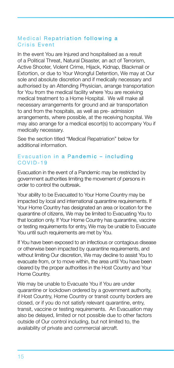#### Medical Repatriation following a Crisis Event

In the event You are Injured and hospitalised as a result of a Political Threat, Natural Disaster, an act of Terrorism, Active Shooter, Violent Crime, Hijack, Kidnap, Blackmail or Extortion, or due to Your Wrongful Detention, We may at Our sole and absolute discretion and if medically necessary and authorised by an Attending Physician, arrange transportation for You from the medical facility where You are receiving medical treatment to a Home Hospital. We will make all necessary arrangements for ground and air transportation to and from the hospitals, as well as pre- admission arrangements, where possible, at the receiving hospital. We may also arrange for a medical escort(s) to accompany You if medically necessary.

See the section titled "Medical Repatriation" below for additional information.

#### Evacuation in a Pandemic – including COVID-19

Evacuation in the event of a Pandemic may be restricted by government authorities limiting the movement of persons in order to control the outbreak.

Your ability to be Evacuated to Your Home Country may be impacted by local and international quarantine requirements. If Your Home Country has designated an area or location for the quarantine of citizens, We may be limited to Evacuating You to that location only. If Your Home Country has quarantine, vaccine or testing requirements for entry, We may be unable to Evacuate You until such requirements are met by You.

If You have been exposed to an infectious or contagious disease or otherwise been impacted by quarantine requirements, and without limiting Our discretion, We may decline to assist You to evacuate from, or to move within, the area until You have been cleared by the proper authorities in the Host Country and Your Home Country.

We may be unable to Evacuate You if You are under quarantine or lockdown ordered by a government authority, if Host Country, Home Country or transit county borders are closed, or if you do not satisfy relevant quarantine, entry, transit, vaccine or testing requirements. An Evacuation may also be delayed, limited or not possible due to other factors outside of Our control including, but not limited to, the availability of private and commercial aircraft.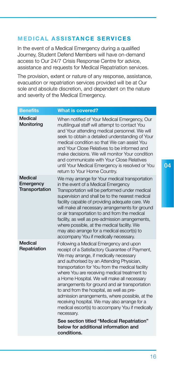## **MEDICAL ASSISTANCE SERVICES**

In the event of a Medical Emergency during a qualified Journey, Student Defend Members will have on-demand access to Our 24/7 Crisis Response Centre for advice, assistance and requests for Medical Repatriation services.

The provision, extent or nature of any response, assistance, evacuation or repatriation services provided will be at Our sole and absolute discretion, and dependent on the nature and severity of the Medical Emergency.

| <b>Benefits</b>                        | <b>What is covered?</b>                                                                                                                                                                                                                                                                                                                                                                                                                                                                                                                                                                                                                                                                                    |
|----------------------------------------|------------------------------------------------------------------------------------------------------------------------------------------------------------------------------------------------------------------------------------------------------------------------------------------------------------------------------------------------------------------------------------------------------------------------------------------------------------------------------------------------------------------------------------------------------------------------------------------------------------------------------------------------------------------------------------------------------------|
| Medical<br>Monitoring                  | When notified of Your Medical Emergency, Our<br>multilingual staff will attempt to contact You<br>and Your attending medical personnel. We will<br>seek to obtain a detailed understanding of Your<br>medical condition so that We can assist You<br>and Your Close Relatives to be informed and<br>make decisions. We will monitor Your condition<br>and communicate with Your Close Relatives<br>until Your Medical Emergency is resolved or You<br>return to Your Home Country.                                                                                                                                                                                                                         |
| Medical<br>Emergency<br>Transportation | We may arrange for Your medical transportation<br>in the event of a Medical Emergency<br>Transportation will be performed under medical<br>supervision and shall be to the nearest medical<br>facility capable of providing adequate care. We<br>will make all necessary arrangements for ground<br>or air transportation to and from the medical<br>facility, as well as pre-admission arrangements,<br>where possible, at the medical facility. We<br>may also arrange for a medical escort(s) to<br>accompany You if medically necessary.                                                                                                                                                               |
| Medical<br>Repatriation                | Following a Medical Emergency and upon<br>receipt of a Satisfactory Guarantee of Payment,<br>We may arrange, if medically necessary<br>and authorised by an Attending Physician,<br>transportation for You from the medical facility<br>where You are receiving medical treatment to<br>a Home Hospital. We will make all necessary<br>arrangements for ground and air transportation<br>to and from the hospital, as well as pre-<br>admission arrangements, where possible, at the<br>receiving hospital. We may also arrange for a<br>medical escort(s) to accompany You if medically<br>necessary.<br>See section titled "Medical Repatriation"<br>below for additional information and<br>conditions. |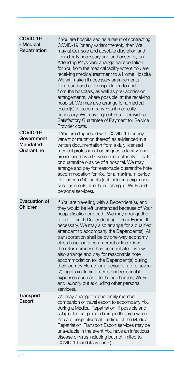| COVID-19<br>- Medical<br>Repatriation            | If You are hospitalised as a result of contracting<br>COVID-19 (or any variant thereof), then We<br>may at Our sole and absolute discretion and<br>if medically necessary and authorised by an<br>Attending Physician, arrange transportation<br>for You from the medical facility where You are<br>receiving medical treatment to a Home Hospital.<br>We will make all necessary arrangements<br>for ground and air transportation to and<br>from the hospitals, as well as pre- admission<br>arrangements, where possible, at the receiving<br>hospital. We may also arrange for a medical<br>escort(s) to accompany You if medically<br>necessary. We may request You to provide a<br>Satisfactory Guarantee of Payment for Service<br>Provider costs. |
|--------------------------------------------------|-----------------------------------------------------------------------------------------------------------------------------------------------------------------------------------------------------------------------------------------------------------------------------------------------------------------------------------------------------------------------------------------------------------------------------------------------------------------------------------------------------------------------------------------------------------------------------------------------------------------------------------------------------------------------------------------------------------------------------------------------------------|
| COVID-19<br>Government<br>Mandated<br>Quarantine | If You are diagnosed with COVID-19 (or any<br>variant or mutation thereof) as evidenced in a<br>written documentation from a duly licensed<br>medical professional or diagnostic facility, and<br>are required by a Government authority to isolate<br>or quarantine outside of a hospital, We may<br>arrange and pay for reasonable quarantine hotel<br>accommodation for You for a maximum period<br>of fourteen (14) nights (not including expenses<br>such as meals, telephone charges, Wi-Fi and<br>personal services).                                                                                                                                                                                                                              |
| <b>Evacuation of</b><br>Children                 | If You are travelling with a Dependent(s), and<br>they would be left unattended because of Your<br>hospitalisation or death, We may arrange the<br>return of such Dependent(s) to Your Home. If<br>necessary, We may also arrange for a qualified<br>attendant to accompany the Dependent(s). Air<br>transportation shall be by one-way economy<br>class ticket on a commercial airline. Once<br>the return process has been initiated, we will<br>also arrange and pay for reasonable hotel<br>accommodation for the Dependent(s) during<br>their journey Home for a period of up to seven<br>(7) nights (including meals and reasonable<br>expenses such as telephone charges, Wi-Fi<br>and laundry but excluding other personal<br>services).          |
| Transport<br>Escort                              | We may arrange for one family member,<br>companion or travel escort to accompany You<br>during a Medical Repatriation, if possible and<br>subject to that person being in the area where<br>You are hospitalised at the time of the Medical<br>Repatriation. Transport Escort services may be<br>unavailable in the event You have an infectious<br>disease or virus including but not limited to<br>COVID-19 (and its variants).                                                                                                                                                                                                                                                                                                                         |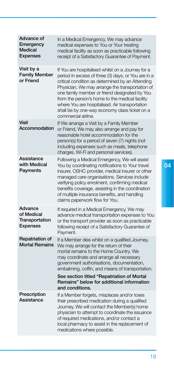| Advance of<br>Emergency<br>Medical<br><b>Expenses</b>      | In a Medical Emergency, We may advance<br>medical expenses to You or Your treating<br>medical facility as soon as practicable following<br>receipt of a Satisfactory Guarantee of Payment.                                                                                                                                                                                                                                                   |
|------------------------------------------------------------|----------------------------------------------------------------------------------------------------------------------------------------------------------------------------------------------------------------------------------------------------------------------------------------------------------------------------------------------------------------------------------------------------------------------------------------------|
| Visit by a<br><b>Family Member</b><br>or Friend            | If You are hospitalised whilst on a Journey for a<br>period in excess of three (3) days, or You are in a<br>critical condition as determined by an Attending<br>Physician, We may arrange the transportation of<br>one family member or friend designated by You<br>from the person's home to the medical facility<br>where You are hospitalised. Air transportation<br>shall be by one-way economy class ticket on a<br>commercial airline. |
| <b>Visit</b><br>Accommodation                              | If We arrange a Visit by a Family Member<br>or Friend, We may also arrange and pay for<br>reasonable hotel accommodation for the<br>person(s) for a period of seven (7) nights (not<br>including expenses such as meals, telephone<br>charges, Wi-Fi and personal services).                                                                                                                                                                 |
| Assistance<br>with Medical<br>Payments                     | Following a Medical Emergency, We will assist<br>You by coordinating notifications to Your travel<br>insurer, OSHC provider, medical insurer or other<br>managed care organisations. Services include<br>verifying policy enrolment, confirming medical<br>benefits coverage, assisting in the coordination<br>of multiple insurance benefits, and handling<br>claims paperwork flow for You.                                                |
| Advance<br>of Medical<br>Transportation<br><b>Expenses</b> | If required in a Medical Emergency, We may<br>advance medical transportation expenses to You<br>or the transport provider as soon as practicable<br>following receipt of a Satisfactory Guarantee of<br>Payment.                                                                                                                                                                                                                             |
| Repatriation of<br><b>Mortal Remains</b>                   | If a Member dies whilst on a qualified Journey,<br>We may arrange for the return of their<br>mortal remains to the Home Country. We<br>may coordinate and arrange all necessary<br>government authorisations, documentation,<br>embalming, coffin, and means of transportation.<br>See section titled "Repatriation of Mortal                                                                                                                |
|                                                            | Remains" below for additional information<br>and conditions.                                                                                                                                                                                                                                                                                                                                                                                 |
| Prescription<br>Assistance                                 | If a Member forgets, misplaces and/or loses<br>their prescribed medication during a qualified<br>Journey, We will contact the Member(s) home<br>physician to attempt to coordinate the issuance<br>of required medications, and/or contact a<br>local pharmacy to assist in the replacement of<br>medications where possible.                                                                                                                |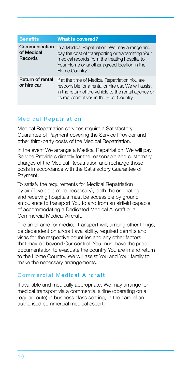| <b>Benefits</b>                        | What is covered?                                                                                                                                                                                                    |
|----------------------------------------|---------------------------------------------------------------------------------------------------------------------------------------------------------------------------------------------------------------------|
| Communication<br>of Medical<br>Records | In a Medical Repatriation, We may arrange and<br>pay the cost of transporting or transmitting Your<br>medical records from the treating hospital to<br>Your Home or another agreed location in the<br>Home Country. |
| <b>Return of rental</b><br>or hire car | If at the time of Medical Repatriation You are<br>responsible for a rental or hire car, We will assist<br>in the return of the vehicle to the rental agency or<br>its representatives in the Host Country.          |

## Medical Repatriation

Medical Repatriation services require a Satisfactory Guarantee of Payment covering the Service Provider and other third-party costs of the Medical Repatriation.

In the event We arrange a Medical Repatriation, We will pay Service Providers directly for the reasonable and customary charges of the Medical Repatriation and recharge those costs in accordance with the Satisfactory Guarantee of Payment.

To satisfy the requirements for Medical Repatriation by air (if we determine necessary), both the originating and receiving hospitals must be accessible by ground ambulance to transport You to and from an airfield capable of accommodating a Dedicated Medical Aircraft or a Commercial Medical Aircraft.

The timeframe for medical transport will, among other things, be dependent on aircraft availability, required permits and visas for the respective countries and any other factors that may be beyond Our control. You must have the proper documentation to evacuate the country You are in and return to the Home Country. We will assist You and Your family to make the necessary arrangements.

#### Commercial Medical Aircraft

If available and medically appropriate, We may arrange for medical transport via a commercial airline (operating on a regular route) in business class seating, in the care of an authorised commercial medical escort.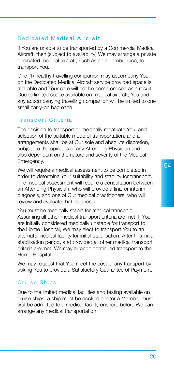#### Dedicated Medical Aircraft

If You are unable to be transported by a Commercial Medical Aircraft, then (subject to availability) We may arrange a private dedicated medical aircraft, such as an air ambulance, to transport You.

One (1) healthy travelling companion may accompany You on the Dedicated Medical Aircraft service provided space is available and Your care will not be compromised as a result. Due to limited space available on medical aircraft, You and any accompanying travelling companion will be limited to one small carry-on bag each.

#### Transport Criteria

The decision to transport or medically repatriate You, and selection of the suitable mode of transportation, and all arrangements shall be at Our sole and absolute discretion, subject to the opinions of any Attending Physician and also dependent on the nature and severity of the Medical Emergency.

We will require a medical assessment to be completed in order to determine Your suitability and stability for transport. The medical assessment will require a consultation between an Attending Physician, who will provide a final or interim diagnosis, and one of Our medical practitioners, who will review and evaluate that diagnosis.

You must be medically stable for medical transport. Assuming all other medical transport criteria are met, If You are initially considered medically unstable for transport to the Home Hospital, We may elect to transport You to an alternate medical facility for initial stabilisation. After this initial stabilisation period, and provided all other medical transport criteria are met, We may arrange continued transport to the Home Hospital.

We may request that You meet the cost of any transport by asking You to provide a Satisfactory Guarantee of Payment.

#### Cruise Ships

Due to the limited medical facilities and testing available on cruise ships, a ship must be docked and/or a Member must first be admitted to a medical facility onshore before We can arrange any medical transportation.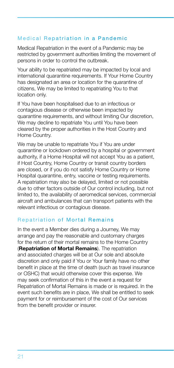#### Medical Repatriation in a Pandemic

Medical Repatriation in the event of a Pandemic may be restricted by government authorities limiting the movement of persons in order to control the outbreak.

Your ability to be repatriated may be impacted by local and international quarantine requirements. If Your Home Country has designated an area or location for the quarantine of citizens, We may be limited to repatriating You to that location only.

If You have been hospitalised due to an infectious or contagious disease or otherwise been impacted by quarantine requirements, and without limiting Our discretion, We may decline to repatriate You until You have been cleared by the proper authorities in the Host Country and Home Country.

We may be unable to repatriate You if You are under quarantine or lockdown ordered by a hospital or government authority, if a Home Hospital will not accept You as a patient, if Host Country, Home Country or transit country borders are closed, or if you do not satisfy Home Country or Home Hospital quarantine, entry, vaccine or testing requirements. A repatriation may also be delayed, limited or not possible due to other factors outside of Our control including, but not limited to, the availability of aeromedical services, commercial aircraft and ambulances that can transport patients with the relevant infectious or contagious disease.

#### Repatriation of Mortal Remains

In the event a Member dies during a Journey, We may arrange and pay the reasonable and customary charges for the return of their mortal remains to the Home Country (**Repatriation of Mortal Remains**). The repatriation and associated charges will be at Our sole and absolute discretion and only paid if You or Your family have no other benefit in place at the time of death (such as travel insurance or OSHC) that would otherwise cover this expense. We may seek confirmation of this in the event a request for Repatriation of Mortal Remains is made or is required. In the event such benefits are in place, We shall be entitled to seek payment for or reimbursement of the cost of Our services from the benefit provider or insurer.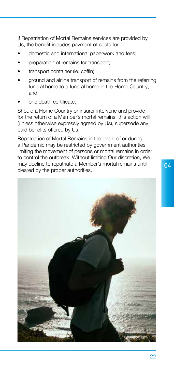If Repatriation of Mortal Remains services are provided by Us, the benefit includes payment of costs for:

- domestic and international paperwork and fees;
- preparation of remains for transport;
- transport container (ie. coffin);
- around and airline transport of remains from the referring funeral home to a funeral home in the Home Country; and,
- one death certificate.

Should a Home Country or insurer intervene and provide for the return of a Member's mortal remains, this action will (unless otherwise expressly agreed by Us), supersede any paid benefits offered by Us.

Repatriation of Mortal Remains in the event of or during a Pandemic may be restricted by government authorities limiting the movement of persons or mortal remains in order to control the outbreak. Without limiting Our discretion, We may decline to repatriate a Member's mortal remains until cleared by the proper authorities.

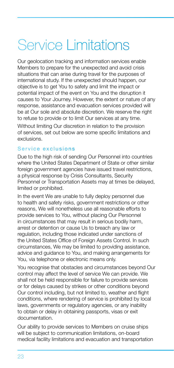# Service Limitations

Our geolocation tracking and information services enable Members to prepare for the unexpected and avoid crisis situations that can arise during travel for the purposes of international study. If the unexpected should happen, our objective is to get You to safety and limit the impact or potential impact of the event on You and the disruption it causes to Your Journey. However, the extent or nature of any response, assistance and evacuation services provided will be at Our sole and absolute discretion. We reserve the right to refuse to provide or to limit Our services at any time.

Without limiting Our discretion in relation to the provision of services, set out below are some specific limitations and exclusions.

#### Service exclusions

Due to the high risk of sending Our Personnel into countries where the United States Department of State or other similar foreign government agencies have issued travel restrictions. a physical response by Crisis Consultants, Security Personnel or Transportation Assets may at times be delayed, limited or prohibited.

In the event We are unable to fully deploy personnel due to health and safety risks, government restrictions or other reasons, We will nonetheless use all reasonable efforts to provide services to You, without placing Our Personnel in circumstances that may result in serious bodily harm, arrest or detention or cause Us to breach any law or regulation, including those indicated under sanctions of the United States Office of Foreign Assets Control. In such circumstances, We may be limited to providing assistance, advice and guidance to You, and making arrangements for You, via telephone or electronic means only.

You recognise that obstacles and circumstances beyond Our control may affect the level of service We can provide. We shall not be held responsible for failure to provide services or for delays caused by strikes or other conditions beyond Our control including, but not limited to, weather and flight conditions, where rendering of service is prohibited by local laws, governments or regulatory agencies, or any inability to obtain or delay in obtaining passports, visas or exit documentation.

Our ability to provide services to Members on cruise ships will be subiect to communication limitations, on-board medical facility limitations and evacuation and transportation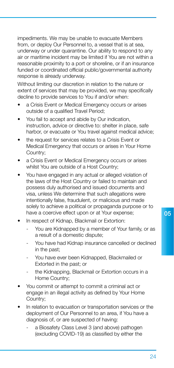impediments. We may be unable to evacuate Members from, or deploy Our Personnel to, a vessel that is at sea, underway or under quarantine. Our ability to respond to any air or maritime incident may be limited if You are not within a reasonable proximity to a port or shoreline, or if an insurance funded or coordinated official public/governmental authority response is already underway.

Without limiting our discretion in relation to the nature or extent of services that may be provided, we may specifically decline to provide services to You if and/or when:

- a Crisis Event or Medical Emergency occurs or arises outside of a qualified Travel Period;
- You fail to accept and abide by Our indication, instruction, advice or directive to: shelter in place, safe harbor, or evacuate or You travel against medical advice;
- the request for services relates to a Crisis Event or Medical Emergency that occurs or arises in Your Home Country;
- a Crisis Event or Medical Emergency occurs or arises whilst You are outside of a Host Country;
- You have engaged in any actual or alleged violation of the laws of the Host Country or failed to maintain and possess duly authorised and issued documents and visa, unless We determine that such allegations were intentionally false, fraudulent, or malicious and made solely to achieve a political or propaganda purpose or to have a coercive effect upon or at Your expense;
- In respect of Kidnap, Blackmail or Extortion:
	- You are Kidnapped by a member of Your family, or as a result of a domestic dispute;
	- You have had Kidnap insurance cancelled or declined in the past;
	- You have ever been Kidnapped, Blackmailed or Extorted in the past; or
	- the Kidnapping, Blackmail or Extortion occurs in a Home Country;
- You commit or attempt to commit a criminal act or engage in an illegal activity as defined by Your Home Country;
- In relation to evacuation or transportation services or the deployment of Our Personnel to an area, if You have a diagnosis of, or are suspected of having:
	- a Biosafety Class Level 3 (and above) pathogen (excluding COVID-19) as classified by either the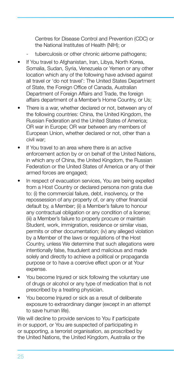Centres for Disease Control and Prevention (CDC) or the National Institutes of Health (NIH); or

- tuberculosis or other chronic airborne pathogens;
- If You travel to Afghanistan, Iran, Libya, North Korea, Somalia, Sudan, Syria, Venezuela or Yemen or any other location which any of the following have advised against all travel or 'do not travel': The United States Department of State, the Foreign Office of Canada, Australian Department of Foreign Affairs and Trade, the foreign affairs department of a Member's Home Country, or Us;
- There is a war, whether declared or not, between any of the following countries: China, the United Kingdom, the Russian Federation and the United States of America; OR war in Europe; OR war between any members of European Union, whether declared or not, other than a civil war;
- If You travel to an area where there is an active enforcement action by or on behalf of the United Nations, in which any of China, the United Kingdom, the Russian Federation or the United States of America or any of their armed forces are engaged;
- In respect of evacuation services, You are being expelled from a Host Country or declared persona non grata due to: (i) the commercial failure, debt, insolvency, or the repossession of any property of, or any other financial default by, a Member; (ii) a Member's failure to honour any contractual obligation or any condition of a license; (iii) a Member's failure to properly procure or maintain Student, work, immigration, residence or similar visas, permits or other documentation; (iv) any alleged violation by a Member of the laws or regulations of the Host Country, unless We determine that such allegations were intentionally false, fraudulent and malicious and made solely and directly to achieve a political or propaganda purpose or to have a coercive effect upon or at Your expense.
- You become Injured or sick following the voluntary use of drugs or alcohol or any type of medication that is not prescribed by a treating physician.
- You become Injured or sick as a result of deliberate exposure to extraordinary danger (except in an attempt to save human life).

We will decline to provide services to You if participate in or support, or You are suspected of participating in or supporting, a terrorist organisation, as proscribed by the United Nations, the United Kingdom, Australia or the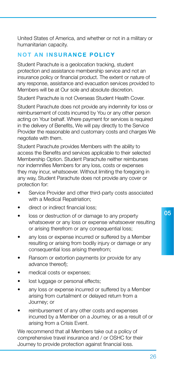United States of America, and whether or not in a military or humanitarian capacity.

### **NOT AN INSURANCE POLICY**

Student Parachute is a geolocation tracking, student protection and assistance membership service and not an insurance policy or financial product. The extent or nature of any response, assistance and evacuation services provided to Members will be at Our sole and absolute discretion.

Student Parachute is not Overseas Student Health Cover.

Student Parachute does not provide any indemnity for loss or reimbursement of costs incurred by You or any other person acting on Your behalf. Where payment for services is required in the delivery of Benefits, We will pay directly to the Service Provider the reasonable and customary costs and charges We negotiate with them.

Student Parachute provides Members with the ability to access the Benefits and services applicable to their selected Membership Option. Student Parachute neither reimburses nor indemnifies Members for any loss, costs or expenses they may incur, whatsoever. Without limiting the foregoing in any way, Student Parachute does not provide any cover or protection for:

- Service Provider and other third-party costs associated with a Medical Repatriation;
- direct or indirect financial loss:
- loss or destruction of or damage to any property whatsoever or any loss or expense whatsoever resulting or arising therefrom or any consequential loss;
- any loss or expense incurred or suffered by a Member resulting or arising from bodily injury or damage or any consequential loss arising therefrom;
- Ransom or extortion payments (or provide for any advance thereof);
- medical costs or expenses:
- lost luggage or personal effects:
- any loss or expense incurred or suffered by a Member arising from curtailment or delayed return from a Journey; or
- reimbursement of any other costs and expenses incurred by a Member on a Journey, or as a result of or arising from a Crisis Event.

We recommend that all Members take out a policy of comprehensive travel insurance and / or OSHC for their Journey to provide protection against financial loss.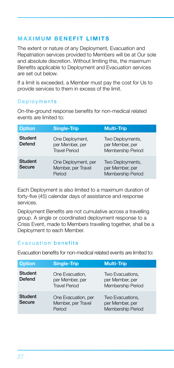### **MAXIMUM BENEFIT LIMITS**

The extent or nature of any Deployment, Evacuation and Repatriation services provided to Members will be at Our sole and absolute discretion. Without limiting this, the maximum Benefits applicable to Deployment and Evacuation services are set out below.

If a limit is exceeded, a Member must pay the cost for Us to provide services to them in excess of the limit.

#### Deployments

On-the-ground response benefits for non-medical related events are limited to:

| <b>Option</b>     | <b>Single-Trip</b>                                         | <b>Multi-Trip</b>                                        |
|-------------------|------------------------------------------------------------|----------------------------------------------------------|
| Student<br>Defend | One Deployment,<br>per Member, per<br><b>Travel Period</b> | Two Deployments,<br>per Member, per<br>Membership Period |
| Student<br>Secure | One Deployment, per<br>Member, per Travel<br>Period        | Two Deployments,<br>per Member, per<br>Membership Period |

Each Deployment is also limited to a maximum duration of forty-five (45) calendar days of assistance and response services.

Deployment Benefits are not cumulative across a travelling group. A single or coordinated deployment response to a Crisis Event, made to Members travelling together, shall be a Deployment to each Member.

#### Evacuation benefits

Evacuation benefits for non-medical related events are limited to:

| <b>Option</b>            | <b>Single-Trip</b>                                         | <b>Multi-Trip</b>                                        |
|--------------------------|------------------------------------------------------------|----------------------------------------------------------|
| <b>Student</b><br>Defend | One Evacuation,<br>per Member, per<br><b>Travel Period</b> | Two Evacuations,<br>per Member, per<br>Membership Period |
| <b>Student</b><br>Secure | One Evacuation, per<br>Member, per Travel<br>Period        | Two Evacuations,<br>per Member, per<br>Membership Period |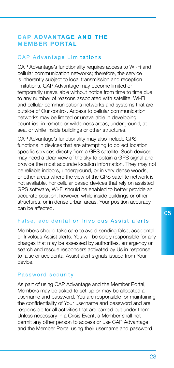## **CAP ADVANTAGE AND THE MEMBER PORTAL**

### CAP Advantage Limitations

CAP Advantage's functionality requires access to Wi-Fi and cellular communication networks; therefore, the service is inherently subject to local transmission and reception limitations. CAP Advantage may become limited or temporarily unavailable without notice from time to time due to any number of reasons associated with satellite, Wi-Fi and cellular communications networks and systems that are outside of Our control. Access to cellular communication networks may be limited or unavailable in developing countries, in remote or wilderness areas, underground, at sea, or while inside buildings or other structures.

CAP Advantage's functionality may also include GPS functions in devices that are attempting to collect location specific services directly from a GPS satellite. Such devices may need a clear view of the sky to obtain a GPS signal and provide the most accurate location information. They may not be reliable indoors, underground, or in very dense woods, or other areas where the view of the GPS satellite network is not available. For cellular based devices that rely on assisted GPS software, Wi-Fi should be enabled to better provide an accurate position, however, while inside buildings or other structures, or in dense urban areas, Your position accuracy can be affected.

#### False, accidental or frivolous Assist alerts

Members should take care to avoid sending false, accidental or frivolous Assist alerts. You will be solely responsible for any charges that may be assessed by authorities, emergency or search and rescue responders activated by Us in response to false or accidental Assist alert signals issued from Your device.

#### Password security

As part of using CAP Advantage and the Member Portal, Members may be asked to set-up or may be allocated a username and password. You are responsible for maintaining the confidentiality of Your username and password and are responsible for all activities that are carried out under them. Unless necessary in a Crisis Event, a Member shall not permit any other person to access or use CAP Advantage and the Member Portal using their username and password.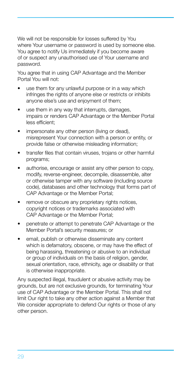We will not be responsible for losses suffered by You where Your username or password is used by someone else. You agree to notify Us immediately if you become aware of or suspect any unauthorised use of Your username and password.

You agree that in using CAP Advantage and the Member Portal You will not:

- use them for any unlawful purpose or in a way which infringes the rights of anyone else or restricts or inhibits anyone else's use and enjoyment of them;
- use them in any way that interrupts, damages, impairs or renders CAP Advantage or the Member Portal less efficient;
- impersonate any other person (living or dead). misrepresent Your connection with a person or entity, or provide false or otherwise misleading information;
- transfer files that contain viruses, trojans or other harmful programs;
- authorise, encourage or assist any other person to copy, modify, reverse-engineer, decompile, disassemble, alter or otherwise tamper with any software (including source code), databases and other technology that forms part of CAP Advantage or the Member Portal;
- remove or obscure any proprietary rights notices. copyright notices or trademarks associated with CAP Advantage or the Member Portal;
- penetrate or attempt to penetrate CAP Advantage or the Member Portal's security measures; or
- email, publish or otherwise disseminate any content which is defamatory, obscene, or may have the effect of being harassing, threatening or abusive to an individual or group of individuals on the basis of religion, gender, sexual orientation, race, ethnicity, age or disability or that is otherwise inappropriate.

Any suspected illegal, fraudulent or abusive activity may be grounds, but are not exclusive grounds, for terminating Your use of CAP Advantage or the Member Portal. This shall not limit Our right to take any other action against a Member that We consider appropriate to defend Our rights or those of any other person.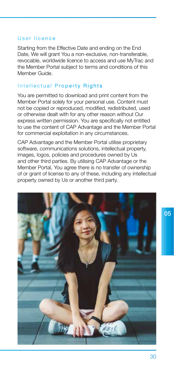#### User licence

Starting from the Effective Date and ending on the End Date, We will grant You a non-exclusive, non-transferable, revocable, worldwide licence to access and use MyTrac and the Member Portal subject to terms and conditions of this Member Guide.

## Intellectual Property Rights

You are permitted to download and print content from the Member Portal solely for your personal use. Content must not be copied or reproduced, modified, redistributed, used or otherwise dealt with for any other reason without Our express written permission. You are specifically not entitled to use the content of CAP Advantage and the Member Portal for commercial exploitation in any circumstances.

CAP Advantage and the Member Portal utilise proprietary software, communications solutions, intellectual property, images, logos, policies and procedures owned by Us and other third parties. By utilising CAP Advantage or the Member Portal, You agree there is no transfer of ownership of or grant of license to any of these, including any intellectual property owned by Us or another third party.

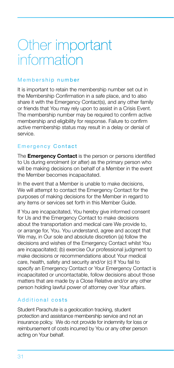# Other important information

#### Membership number

It is important to retain the membership number set out in the Membership Confirmation in a safe place, and to also share it with the Emergency Contact(s), and any other family or friends that You may rely upon to assist in a Crisis Event. The membership number may be required to confirm active membership and eligibility for response. Failure to confirm active membership status may result in a delay or denial of service.

#### Emergency Contact

The **Emergency Contact** is the person or persons identified to Us during enrolment (or after) as the primary person who will be making decisions on behalf of a Member in the event the Member becomes incapacitated.

In the event that a Member is unable to make decisions, We will attempt to contact the Emergency Contact for the purposes of making decisions for the Member in regard to any items or services set forth in this Member Guide.

If You are incapacitated, You hereby give informed consent for Us and the Emergency Contact to make decisions about the transportation and medical care We provide to, or arrange for, You. You understand, agree and accept that We may, in Our sole and absolute discretion (a) follow the decisions and wishes of the Emergency Contact whilst You are incapacitated; (b) exercise Our professional judgment to make decisions or recommendations about Your medical care, health, safety and security and/or (c) If You fail to specify an Emergency Contact or Your Emergency Contact is incapacitated or uncontactable, follow decisions about those matters that are made by a Close Relative and/or any other person holding lawful power of attorney over Your affairs.

#### Additional costs

Student Parachute is a geolocation tracking, student protection and assistance membership service and not an insurance policy. We do not provide for indemnity for loss or reimbursement of costs incurred by You or any other person acting on Your behalf.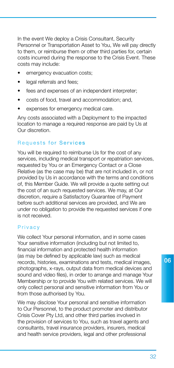In the event We deploy a Crisis Consultant, Security Personnel or Transportation Asset to You, We will pay directly to them, or reimburse them or other third parties for, certain costs incurred during the response to the Crisis Event. These costs may include:

- emergency evacuation costs:
- legal referrals and fees;
- fees and expenses of an independent interpreter;
- costs of food, travel and accommodation; and,
- expenses for emergency medical care.

Any costs associated with a Deployment to the impacted location to manage a required response are paid by Us at Our discretion.

### Requests for Services

You will be required to reimburse Us for the cost of any services, including medical transport or repatriation services, requested by You or an Emergency Contact or a Close Relative (as the case may be) that are not included in, or not provided by Us in accordance with the terms and conditions of, this Member Guide. We will provide a quote setting out the cost of an such requested services. We may, at Our discretion, require a Satisfactory Guarantee of Payment before such additional services are provided, and We are under no obligation to provide the requested services if one is not received.

#### Privacy

We collect Your personal information, and in some cases Your sensitive information (including but not limited to, financial information and protected health information (as may be defined by applicable law) such as medical records, histories, examinations and tests, medical images, photographs, x-rays, output data from medical devices and sound and video files), in order to arrange and manage Your Membership or to provide You with related services. We will only collect personal and sensitive information from You or from those authorised by You.

We may disclose Your personal and sensitive information to Our Personnel, to the product promoter and distributor Crisis Cover Pty Ltd, and other third parties involved in the provision of services to You, such as travel agents and consultants, travel insurance providers, insurers, medical and health service providers, legal and other professional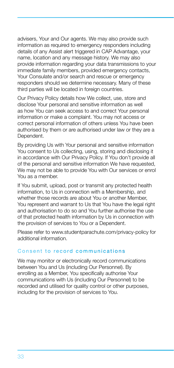advisers, Your and Our agents. We may also provide such information as required to emergency responders including details of any Assist alert triggered in CAP Advantage, your name, location and any message history. We may also provide information regarding your data transmissions to your immediate family members, provided emergency contacts, Your Consulate and/or search and rescue or emergency responders should we determine necessary. Many of these third parties will be located in foreign countries.

Our Privacy Policy details how We collect, use, store and disclose Your personal and sensitive information as well as how You can seek access to and correct Your personal information or make a complaint. You may not access or correct personal information of others unless You have been authorised by them or are authorised under law or they are a Dependent.

By providing Us with Your personal and sensitive information You consent to Us collecting, using, storing and disclosing it in accordance with Our Privacy Policy. If You don't provide all of the personal and sensitive information We have requested, We may not be able to provide You with Our services or enrol You as a member.

If You submit, upload, post or transmit any protected health information, to Us in connection with a Membership, and whether those records are about You or another Member, You represent and warrant to Us that You have the legal right and authorisation to do so and You further authorise the use of that protected health information by Us in connection with the provision of services to You or a Dependent.

Please refer to www.studentparachute.com/privacy-policy for additional information.

#### Consent to record communications

We may monitor or electronically record communications between You and Us (including Our Personnel). By enrolling as a Member, You specifically authorise Your communications with Us (including Our Personnel) to be recorded and utilised for quality control or other purposes, including for the provision of services to You.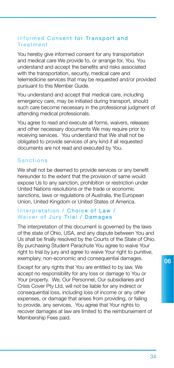#### Informed Consent for Transport and Treatment

You hereby give informed consent for any transportation and medical care We provide to, or arrange for, You. You understand and accept the benefits and risks associated with the transportation, security, medical care and telemedicine services that may be requested and/or provided pursuant to this Member Guide.

You understand and accept that medical care, including emergency care, may be initiated during transport, should such care become necessary in the professional judgment of attending medical professionals.

You agree to read and execute all forms, waivers, releases and other necessary documents We may require prior to receiving services. You understand that We shall not be obligated to provide services of any kind if all requested documents are not read and executed by You.

#### **Sanctions**

We shall not be deemed to provide services or any benefit hereunder to the extent that the provision of same would expose Us to any sanction, prohibition or restriction under United Nations resolutions or the trade or economic sanctions, laws or regulations of Australia, the European Union, United Kingdom or United States of America.

#### Interpretation / Choice of Law / Waiver of Jury Trial / Damages

The interpretation of this document is governed by the laws of the state of Ohio, USA, and any dispute between You and Us shall be finally resolved by the Courts of the State of Ohio. By purchasing Student Parachute You agree to waive Your right to trial by jury and agree to waive Your right to punitive, exemplary, non-economic and consequential damages.

Except for any rights that You are entitled to by law, We accept no responsibility for any loss or damage to You or Your property. We, Our Personnel, Our subsidiaries and Crisis Cover Pty Ltd, will not be liable for any indirect or consequential loss, including loss of income or any other expenses, or damage that arises from providing, or failing to provide, any services. You agree that Your rights to recover damages at law are limited to the reimbursement of Membership Fees paid.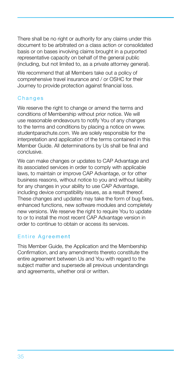There shall be no right or authority for any claims under this document to be arbitrated on a class action or consolidated basis or on bases involving claims brought in a purported representative capacity on behalf of the general public (including, but not limited to, as a private attorney general).

We recommend that all Members take out a policy of comprehensive travel insurance and / or OSHC for their Journey to provide protection against financial loss.

### Changes

We reserve the right to change or amend the terms and conditions of Membership without prior notice. We will use reasonable endeavours to notify You of any changes to the terms and conditions by placing a notice on www. studentparachute.com. We are solely responsible for the interpretation and application of the terms contained in this Member Guide. All determinations by Us shall be final and conclusive.

We can make changes or updates to CAP Advantage and its associated services in order to comply with applicable laws, to maintain or improve CAP Advantage, or for other business reasons, without notice to you and without liability for any changes in your ability to use CAP Advantage, including device compatibility issues, as a result thereof. These changes and updates may take the form of bug fixes, enhanced functions, new software modules and completely new versions. We reserve the right to require You to update to or to install the most recent CAP Advantage version in order to continue to obtain or access its services.

#### Entire Agreement

This Member Guide, the Application and the Membership Confirmation, and any amendments thereto constitute the entire agreement between Us and You with regard to the subject matter and supersede all previous understandings and agreements, whether oral or written.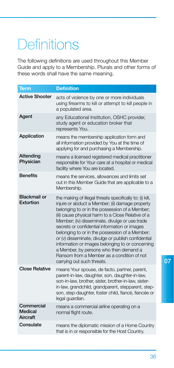# **Definitions**

The following definitions are used throughout this Member Guide and apply to a Membership. Plurals and other forms of these words shall have the same meaning.

| Term                              | <b>Definition</b>                                                                                                                                                                                                                                                                                                                                                                                                                                                                                                                                                                                         |
|-----------------------------------|-----------------------------------------------------------------------------------------------------------------------------------------------------------------------------------------------------------------------------------------------------------------------------------------------------------------------------------------------------------------------------------------------------------------------------------------------------------------------------------------------------------------------------------------------------------------------------------------------------------|
| <b>Active Shooter</b>             | acts of violence by one or more individuals<br>using firearms to kill or attempt to kill people in<br>a populated area.                                                                                                                                                                                                                                                                                                                                                                                                                                                                                   |
| Agent                             | any Educational Institution, OSHC provider,<br>study agent or education broker that<br>represents You.                                                                                                                                                                                                                                                                                                                                                                                                                                                                                                    |
| Application                       | means the membership application form and<br>all information provided by You at the time of<br>applying for and purchasing a Membership.                                                                                                                                                                                                                                                                                                                                                                                                                                                                  |
| Attending<br>Physician            | means a licensed registered medical practitioner<br>responsible for Your care at a hospital or medical<br>facility where You are located.                                                                                                                                                                                                                                                                                                                                                                                                                                                                 |
| <b>Benefits</b>                   | means the services, allowances and limits set<br>out in this Member Guide that are applicable to a<br>Membership.                                                                                                                                                                                                                                                                                                                                                                                                                                                                                         |
| <b>Blackmail or</b><br>Extortion  | the making of illegal threats specifically to: (i) kill,<br>injure or abduct a Member; (ii) damage property<br>belonging to or in the possession of a Member;<br>(iii) cause physical harm to a Close Relative of a<br>Member; (iv) disseminate, divulge or use trade<br>secrets or confidential information or images<br>belonging to or in the possession of a Member;<br>or (v) disseminate, divulge or publish confidential<br>information or images belonging to or concerning<br>a Member, by persons who then demand a<br>Ransom from a Member as a condition of not<br>carrying out such threats. |
| <b>Close Relative</b>             | means Your spouse, de facto, partner, parent,<br>parent-in-law, daughter, son, daughter-in-law,<br>son-in-law, brother, sister, brother-in-law, sister-<br>in-law, grandchild, grandparent, stepparent, step-<br>son, step-daughter, foster child, fiancé, fiancée or<br>legal guardian.                                                                                                                                                                                                                                                                                                                  |
| Commercial<br>Medical<br>Aircraft | means a commercial airline operating on a<br>normal flight route.                                                                                                                                                                                                                                                                                                                                                                                                                                                                                                                                         |
| Consulate                         | means the diplomatic mission of a Home Country<br>that is in or responsible for the Host Country.                                                                                                                                                                                                                                                                                                                                                                                                                                                                                                         |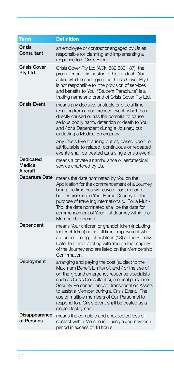| Term                             | <b>Definition</b>                                                                                                                                                                                                                                                                                                                                                                                                                 |
|----------------------------------|-----------------------------------------------------------------------------------------------------------------------------------------------------------------------------------------------------------------------------------------------------------------------------------------------------------------------------------------------------------------------------------------------------------------------------------|
| Crisis<br>Consultant             | an employee or contractor engaged by Us as<br>responsible for planning and implementing a<br>response to a Crisis Event.                                                                                                                                                                                                                                                                                                          |
| <b>Crisis Cover</b><br>Pty Ltd   | Crisis Cover Pty Ltd (ACN 632 630 187), the<br>promoter and distributor of this product. You<br>acknowledge and agree that Crisis Cover Pty Ltd<br>is not responsible for the provision of services<br>and benefits to You. "Student Parachute" is a<br>trading name and brand of Crisis Cover Pty Ltd.                                                                                                                           |
| <b>Crisis Event</b>              | means any decisive, unstable or crucial time<br>resulting from an unforeseen event, which has<br>directly caused or has the potential to cause<br>serious bodily harm, detention or death to You<br>and / or a Dependent during a Journey, but<br>excluding a Medical Emergency.<br>Any Crisis Event arising out of, based upon, or                                                                                               |
|                                  | attributable to related, continuous or repeated<br>events shall be treated as a single crisis event.                                                                                                                                                                                                                                                                                                                              |
| Dedicated<br>Medical<br>Aircraft | means a private air ambulance or aeromedical<br>service chartered by Us.                                                                                                                                                                                                                                                                                                                                                          |
| <b>Departure Date</b>            | means the date nominated by You on the<br>Application for the commencement of a Journey,<br>being the time You will leave a port, airport or<br>border crossing in Your Home Country for the<br>purpose of travelling Internationally. For a Multi-<br>Trip, the date nominated shall be the date for<br>commencement of Your first Journey within the<br>Membership Period.                                                      |
| Dependent                        | means Your children or grandchildren (including<br>foster children) not in full time employment who<br>are under the age of eighteen (18) at the Effective<br>Date, that are travelling with You on the majority<br>of the Journey and are listed on the Membership<br>Confirmation.                                                                                                                                              |
| Deployment                       | arranging and paying the cost (subject to the<br>Maximum Benefit Limits) of, and / or the use of<br>on-the-ground emergency response specialists<br>such as Crisis Consultant(s), medical personnel,<br>Security Personnel, and/or Transportation Assets<br>to assist a Member during a Crisis Event. The<br>use of multiple members of Our Personnel to<br>respond to a Crisis Event shall be treated as a<br>single Deployment. |
| Disappearance<br>of Persons      | means the complete and unexpected loss of<br>contact with a Member(s) during a Journey for a<br>period in excess of 48 hours.                                                                                                                                                                                                                                                                                                     |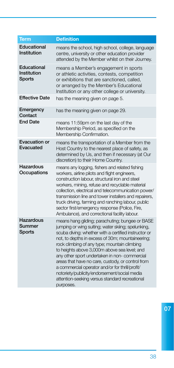| Term                                 | <b>Definition</b>                                                                                                                                                                                                                                                                                                                                                                                                                                                                                                                                                                        |
|--------------------------------------|------------------------------------------------------------------------------------------------------------------------------------------------------------------------------------------------------------------------------------------------------------------------------------------------------------------------------------------------------------------------------------------------------------------------------------------------------------------------------------------------------------------------------------------------------------------------------------------|
| Educational<br>Institution           | means the school, high school, college, language<br>centre, university or other education provider<br>attended by the Member whilst on their Journey.                                                                                                                                                                                                                                                                                                                                                                                                                                    |
| Educational<br>Institution<br>Sports | means a Member's engagement in sports<br>or athletic activities, contests, competition<br>or exhibitions that are sanctioned, called,<br>or arranged by the Member's Educational<br>Institution or any other college or university.                                                                                                                                                                                                                                                                                                                                                      |
| <b>Effective Date</b>                | has the meaning given on page 5.                                                                                                                                                                                                                                                                                                                                                                                                                                                                                                                                                         |
| Emergency<br>Contact                 | has the meaning given on page 29.                                                                                                                                                                                                                                                                                                                                                                                                                                                                                                                                                        |
| <b>End Date</b>                      | means 11:59pm on the last day of the<br>Membership Period, as specified on the<br>Membership Confirmation.                                                                                                                                                                                                                                                                                                                                                                                                                                                                               |
| <b>Evacuation or</b><br>Evacuated    | means the transportation of a Member from the<br>Host Country to the nearest place of safety, as<br>determined by Us, and then if necessary (at Our<br>discretion) to their Home Country.                                                                                                                                                                                                                                                                                                                                                                                                |
| Hazardous<br>Occupations             | means any logging, fishers and related fishing<br>workers, airline pilots and flight engineers,<br>construction labour, structural iron and steel<br>workers, mining, refuse and recyclable material<br>collection, electrical and telecommunication power/<br>transmission line and tower installers and repairers,<br>truck driving, farming and ranching labour, public<br>sector first/emergency response (Police, Fire,<br>Ambulance), and correctional facility labour.                                                                                                            |
| Hazardous<br>Summer<br><b>Sports</b> | means hang gliding; parachuting; bungee or BASE<br>jumping or wing suiting; water skiing; spelunking,<br>scuba diving: whether with a certified instructor or<br>not, to depths in excess of 30m; mountaineering;<br>rock climbing of any type; mountain climbing<br>to heights above 3,000m above sea level; and<br>any other sport undertaken in non-commercial<br>areas that have no care, custody, or control from<br>a commercial operator and/or for thrill/profit/<br>notoriety/publicity/endorsement/social media<br>attention-seeking versus standard recreational<br>purposes. |

07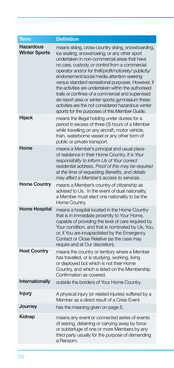| Term                              | <b>Definition</b>                                                                                                                                                                                                                                                                                                                                                                                                                                                                                                                                                                                                                         |
|-----------------------------------|-------------------------------------------------------------------------------------------------------------------------------------------------------------------------------------------------------------------------------------------------------------------------------------------------------------------------------------------------------------------------------------------------------------------------------------------------------------------------------------------------------------------------------------------------------------------------------------------------------------------------------------------|
| Hazardous<br><b>Winter Sports</b> | means skiing, cross-country skiing, snowboarding,<br>ice skating; snowshoeing; or any other sport<br>undertaken in non-commercial areas that have<br>no care, custody, or control from a commercial<br>operator and/or for thrill/profit/notoriety/ publicity/<br>endorsement/social media attention-seeking<br>versus standard recreational purposes. However, if<br>the activities are undertaken within the authorised<br>trails or confines of a commercial and supervised<br>ski resort area or winter sports gymnasium these<br>activities are the not considered hazardous winter<br>sports for the purposes of this Member Guide. |
| Hijack                            | means the illegal holding under duress for a<br>period in excess of three (3) hours of a Member<br>while travelling on any aircraft, motor vehicle,<br>train, waterborne vessel or any other form of<br>public or private transport.                                                                                                                                                                                                                                                                                                                                                                                                      |
| Home                              | means a Member's principal and usual place<br>of residence in their Home Country. It is Your<br>responsibility to inform Us of Your correct<br>residential address. Proof of this may be required<br>at the time of requesting Benefits, and details<br>may affect a Member's access to services.                                                                                                                                                                                                                                                                                                                                         |
| <b>Home Country</b>               | means a Member's country of citizenship as<br>advised to Us. In the event of dual nationality,<br>a Member must elect one nationality to be the<br>Home Country.                                                                                                                                                                                                                                                                                                                                                                                                                                                                          |
| Home Hospital                     | means a hospital located in the Home Country<br>that is in immediate proximity to Your Home,<br>capable of providing the level of care required by<br>Your condition, and that is nominated by Us, You,<br>or, if You are incapacitated by the Emergency<br>Contact or Close Relative (as the case may<br>require and at Our discretion).                                                                                                                                                                                                                                                                                                 |
| <b>Host Country</b>               | means the country or territory where a Member<br>has travelled, or is studying, working, living<br>or deployed but which is not their Home<br>Country, and which is listed on the Membership<br>Confirmation as covered.                                                                                                                                                                                                                                                                                                                                                                                                                  |
| Internationally                   | outside the borders of Your Home Country.                                                                                                                                                                                                                                                                                                                                                                                                                                                                                                                                                                                                 |
| Injury                            | A physical injury (or related injuries) suffered by a<br>Member as a direct result of a Crisis Event.                                                                                                                                                                                                                                                                                                                                                                                                                                                                                                                                     |
| Journey                           | has the meaning given on page 5.                                                                                                                                                                                                                                                                                                                                                                                                                                                                                                                                                                                                          |
| Kidnap                            | means any event or connected series of events<br>of seizing, detaining or carrying away by force<br>or subterfuge of one or more Members by any<br>third party usually for the purpose of demanding<br>a Ransom.                                                                                                                                                                                                                                                                                                                                                                                                                          |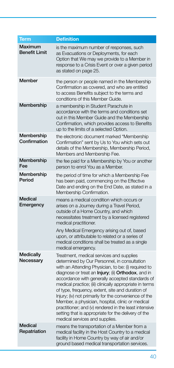| <b>Term</b>                     | <b>Definition</b>                                                                                                                                                                                                                                                                                                                                                                                                                                                                                                                                                                                                                      |
|---------------------------------|----------------------------------------------------------------------------------------------------------------------------------------------------------------------------------------------------------------------------------------------------------------------------------------------------------------------------------------------------------------------------------------------------------------------------------------------------------------------------------------------------------------------------------------------------------------------------------------------------------------------------------------|
| Maximum<br><b>Benefit Limit</b> | is the maximum number of responses, such<br>as Evacuations or Deployments, for each<br>Option that We may we provide to a Member in<br>response to a Crisis Event or over a given period<br>as stated on page 25.                                                                                                                                                                                                                                                                                                                                                                                                                      |
| Member                          | the person or people named in the Membership<br>Confirmation as covered, and who are entitled<br>to access Benefits subject to the terms and<br>conditions of this Member Guide.                                                                                                                                                                                                                                                                                                                                                                                                                                                       |
| Membership                      | a membership in Student Parachute in<br>accordance with the terms and conditions set<br>out in this Member Guide and the Membership<br>Confirmation, which provides access to Benefits<br>up to the limits of a selected Option.                                                                                                                                                                                                                                                                                                                                                                                                       |
| Membership<br>Confirmation      | the electronic document marked "Membership<br>Confirmation" sent by Us to You which sets out<br>details of the Membership, Membership Period,<br>Members and Membership Fee.                                                                                                                                                                                                                                                                                                                                                                                                                                                           |
| Membership<br>Fee               | the fee paid for a Membership by You or another<br>person to enrol You as a Member.                                                                                                                                                                                                                                                                                                                                                                                                                                                                                                                                                    |
| Membership<br>Period            | the period of time for which a Membership Fee<br>has been paid, commencing on the Effective<br>Date and ending on the End Date, as stated in a<br>Membership Confirmation.                                                                                                                                                                                                                                                                                                                                                                                                                                                             |
| Medical<br>Emergency            | means a medical condition which occurs or<br>arises on a Journey during a Travel Period,<br>outside of a Home Country, and which<br>necessitates treatment by a licensed registered<br>medical practitioner.                                                                                                                                                                                                                                                                                                                                                                                                                           |
|                                 | Any Medical Emergency arising out of, based<br>upon, or attributable to related or a series of<br>medical conditions shall be treated as a single<br>medical emergency.                                                                                                                                                                                                                                                                                                                                                                                                                                                                |
| <b>Medically</b><br>Necessary   | Treatment, medical services and supplies<br>determined by Our Personnel, in consultation<br>with an Attending Physician, to be: (i) required to<br>diagnose or treat an Injury; (ii) Orthodox, and in<br>accordance with generally accepted standards of<br>medical practice; (iii) clinically appropriate in terms<br>of type, frequency, extent, site and duration of<br>Injury; (iv) not primarily for the convenience of the<br>Member, a physician, hospital, clinic or medical<br>practitioner; and (v) rendered in the least intensive<br>setting that is appropriate for the delivery of the<br>medical services and supplies. |
| Medical<br>Repatriation         | means the transportation of a Member from a<br>medical facility in the Host Country to a medical<br>facility in Home Country by way of air and/or<br>ground based medical transportation services.                                                                                                                                                                                                                                                                                                                                                                                                                                     |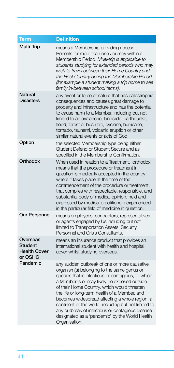| Term                                                         | <b>Definition</b>                                                                                                                                                                                                                                                                                                                                                                                                                                                                                                                 |
|--------------------------------------------------------------|-----------------------------------------------------------------------------------------------------------------------------------------------------------------------------------------------------------------------------------------------------------------------------------------------------------------------------------------------------------------------------------------------------------------------------------------------------------------------------------------------------------------------------------|
| Multi-Trip                                                   | means a Membership providing access to<br>Benefits for more than one Journey within a<br>Membership Period. Multi-trip is applicable to<br>students studying for extended periods who may<br>wish to travel between their Home Country and<br>the Host Country during the Membership Period<br>(for example a student making a trip home to see<br>family in-between school terms).                                                                                                                                               |
| Natural<br><b>Disasters</b>                                  | any event or force of nature that has catastrophic<br>consequences and causes great damage to<br>property and infrastructure and has the potential<br>to cause harm to a Member, including but not<br>limited to an avalanche, landslide, earthquake,<br>flood, forest or bush fire, cyclone, hurricane,<br>tornado, tsunami, volcanic eruption or other<br>similar natural events or acts of God.                                                                                                                                |
| Option                                                       | the selected Membership type being either<br>Student Defend or Student Secure and as<br>specified in the Membership Confirmation.                                                                                                                                                                                                                                                                                                                                                                                                 |
| Orthodox                                                     | When used in relation to a Treatment, 'orthodox'<br>means that the procedure or treatment in<br>question is medically accepted in the country<br>where it takes place at the time of the<br>commencement of the procedure or treatment,<br>that complies with respectable, responsible, and<br>substantial body of medical opinion, held and<br>expressed by medical practitioners experienced<br>in the particular field of medicine in question.                                                                                |
| <b>Our Personnel</b>                                         | means employees, contractors, representatives<br>or agents engaged by Us including but not<br>limited to Transportation Assets, Security<br>Personnel and Crisis Consultants.                                                                                                                                                                                                                                                                                                                                                     |
| Overseas<br><b>Student</b><br><b>Health Cover</b><br>or OSHC | means an insurance product that provides an<br>international student with health and hospital<br>cover whilst studying overseas.                                                                                                                                                                                                                                                                                                                                                                                                  |
| Pandemic                                                     | any sudden outbreak of one or more causative<br>organism(s) belonging to the same genus or<br>species that is infectious or contagious, to which<br>a Member is or may likely be exposed outside<br>of their Home Country, which would threaten<br>the life or long-term health of a Member, and<br>becomes widespread affecting a whole region, a<br>continent or the world, including but not limited to<br>any outbreak of infectious or contagious disease<br>designated as a 'pandemic' by the World Health<br>Organisation. |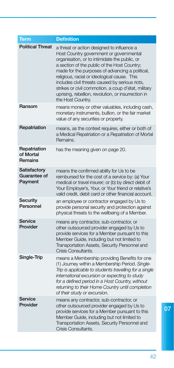| <b>Term</b>                             | <b>Definition</b>                                                                                                                                                                                                                                                                                                                                                                                                                                                               |
|-----------------------------------------|---------------------------------------------------------------------------------------------------------------------------------------------------------------------------------------------------------------------------------------------------------------------------------------------------------------------------------------------------------------------------------------------------------------------------------------------------------------------------------|
| <b>Political Threat</b>                 | a threat or action designed to influence a<br>Host Country government or governmental<br>organisation, or to intimidate the public, or<br>a section of the public of the Host Country;<br>made for the purposes of advancing a political,<br>religious, racial or ideological cause. This<br>includes civil threats caused by serious riots,<br>strikes or civil commotion, a coup d'état, military<br>uprising, rebellion, revolution, or insurrection in<br>the Host Country. |
| Ransom                                  | means money or other valuables, including cash,<br>monetary instruments, bullion, or the fair market<br>value of any securities or property.                                                                                                                                                                                                                                                                                                                                    |
| Repatriation                            | means, as the context requires, either or both of<br>a Medical Repatriation or a Repatriation of Mortal<br>Remains.                                                                                                                                                                                                                                                                                                                                                             |
| Repatriation<br>of Mortal<br>Remains    | has the meaning given on page 20.                                                                                                                                                                                                                                                                                                                                                                                                                                               |
| Satisfactory<br>Guarantee of<br>Payment | means the confirmed ability for Us to be<br>reimbursed for the cost of a service by: (a) Your<br>medical or travel insurer; or (b) by direct debit of<br>Your Employer's, Your, or Your friend or relative's<br>valid credit, debit card or other financial account.                                                                                                                                                                                                            |
| Security<br>Personnel                   | an employee or contractor engaged by Us to<br>provide personal security and protection against<br>physical threats to the wellbeing of a Member.                                                                                                                                                                                                                                                                                                                                |
| Service<br>Provider                     | means any contractor, sub-contractor, or<br>other outsourced provider engaged by Us to<br>provide services for a Member pursuant to this<br>Member Guide, including but not limited to<br>Transportation Assets, Security Personnel and<br>Crisis Consultants.                                                                                                                                                                                                                  |
| Single-Trip                             | means a Membership providing Benefits for one<br>(1) Journey within a Membership Period. Single-<br>Trip is applicable to students travelling for a single<br>international excursion or expecting to study<br>for a defined period in a Host Country, without<br>returning to their Home Country until completion<br>of their study or excursion.                                                                                                                              |
| Service<br>Provider                     | means any contractor, sub-contractor, or<br>other outsourced provider engaged by Us to<br>provide services for a Member pursuant to this<br>Member Guide, including but not limited to<br>Transportation Assets, Security Personnel and<br>Crisis Consultants.                                                                                                                                                                                                                  |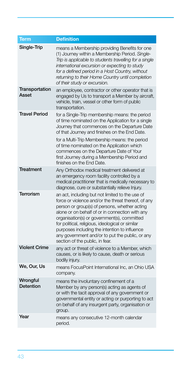| Term                    | <b>Definition</b>                                                                                                                                                                                                                                                                                                                                                                                                                                    |
|-------------------------|------------------------------------------------------------------------------------------------------------------------------------------------------------------------------------------------------------------------------------------------------------------------------------------------------------------------------------------------------------------------------------------------------------------------------------------------------|
| Single-Trip             | means a Membership providing Benefits for one<br>(1) Journey within a Membership Period. Single-<br>Trip is applicable to students travelling for a single<br>international excursion or expecting to study<br>for a defined period in a Host Country, without<br>returning to their Home Country until completion<br>of their study or excursion.                                                                                                   |
| Transportation<br>Asset | an employee, contractor or other operator that is<br>engaged by Us to transport a Member by aircraft,<br>vehicle, train, vessel or other form of public<br>transportation.                                                                                                                                                                                                                                                                           |
| <b>Travel Period</b>    | for a Single-Trip membership means: the period<br>of time nominated on the Application for a single<br>Journey that commences on the Departure Date<br>of that Journey and finishes on the End Date.<br>for a Multi-Trip Membership means: the period<br>of time nominated on the Application which<br>commences on the Departure Date of Your<br>first Journey during a Membership Period and<br>finishes on the End Date.                          |
| <b>Treatment</b>        | Any Orthodox medical treatment delivered at<br>an emergency room facility controlled by a<br>medical practitioner that is medically necessary to<br>diagnose, cure or substantially relieve Injury.                                                                                                                                                                                                                                                  |
| Terrorism               | an act, including but not limited to the use of<br>force or violence and/or the threat thereof, of any<br>person or group(s) of persons, whether acting<br>alone or on behalf of or in connection with any<br>organisation(s) or government(s), committed<br>for political, religious, ideological or similar<br>purposes including the intention to influence<br>any government and/or to put the public, or any<br>section of the public, in fear. |
| <b>Violent Crime</b>    | any act or threat of violence to a Member, which<br>causes, or is likely to cause, death or serious<br>bodily injury.                                                                                                                                                                                                                                                                                                                                |
| We, Our, Us             | means FocusPoint International Inc, an Ohio USA<br>company.                                                                                                                                                                                                                                                                                                                                                                                          |
| Wrongful<br>Detention   | means the involuntary confinement of a<br>Member by any person(s) acting as agents of<br>or with the tacit approval of any government or<br>governmental entity or acting or purporting to act<br>on behalf of any insurgent party, organisation or<br>group.                                                                                                                                                                                        |
| Year                    | means any consecutive 12-month calendar<br>period.                                                                                                                                                                                                                                                                                                                                                                                                   |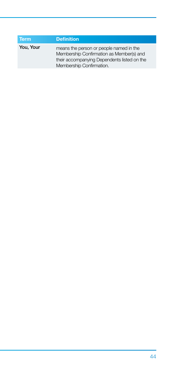| <b>Term</b> | <b>Definition</b>                                                                                                                                              |
|-------------|----------------------------------------------------------------------------------------------------------------------------------------------------------------|
| You, Your   | means the person or people named in the<br>Membership Confirmation as Member(s) and<br>their accompanying Dependents listed on the<br>Membership Confirmation. |